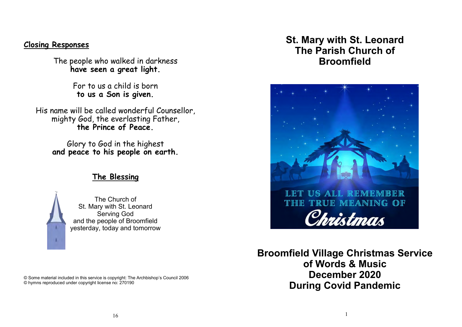#### **Closing Responses**

The people who walked in darkness **have seen a great light.**

> For to us a child is born **to us a Son is given.**

His name will be called wonderful Counsellor, mighty God, the everlasting Father, **the Prince of Peace.**

Glory to God in the highest **and peace to his people on earth.**

### **The Blessing**

The Church of St. Mary with St. Leonard Serving God and the people of Broomfield yesterday, today and tomorrow

© Some material included in this service is copyright: The Archbishop's Council 2006 © hymns reproduced under copyright license no: 270190

# **St. Mary with St. Leonard The Parish Church of Broomfield**



**Broomfield Village Christmas Service of Words & Music December 2020 During Covid Pandemic**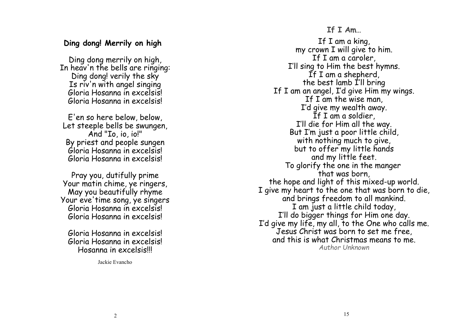### **Ding dong! Merrily on high**

Ding dong merrily on high, In heav'n the bells are ringing: Ding dong! verily the sky Is riv'n with angel singing Gloria Hosanna in excelsis! Gloria Hosanna in excelsis!

E'en so here below, below, Let steeple bells be swungen, And "Io, io, io!" By priest and people sungen Gloria Hosanna in excelsis! Gloria Hosanna in excelsis!

Pray you, dutifully prime Your matin chime, ye ringers, May you beautifully rhyme Your eve'time song, ye singers Gloria Hosanna in excelsis! Gloria Hosanna in excelsis!

Gloria Hosanna in excelsis! Gloria Hosanna in excelsis! Hosanna in excelsis!!!

Jackie Evancho

#### **If I Am …**

If I am a king, my crown I will give to him. If I am a caroler, I 'll sing to Him the best hymns. If I am a shepherd, the best lamb I 'll bring If I am an angel, I 'd give Him my wings. If I am the wise man, I 'd give my wealth away. If I am a soldier, I 'll die for Him all the way. But I 'm just a poor little child, with nothing much to give, but to offer my little hands and my little feet. To glorify the one in the manger that was born, the hope and light of this mixed -up world. I give my heart to the one that was born to die, and brings freedom to all mankind. I am just a little child today, I 'll do bigger things for Him one day. I 'd give my life, my all, to the One who calls me. Jesus Christ was born to set me free, and this is what Christmas means to me. *Author Unknown*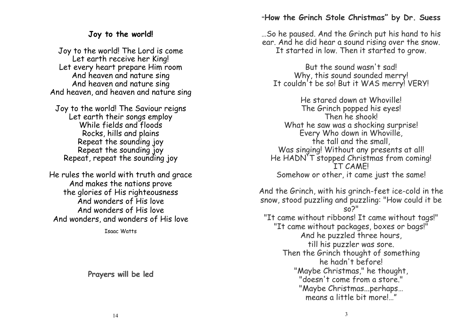# **Joy to the world!**

Joy to the world! The Lord is come Let earth receive her King! Let every heart prepare Him room And heaven and nature sing And heaven and nature sing And heaven, and heaven and nature sing

Joy to the world! The Saviour reigns Let earth their songs employ While fields and floods Rocks, hills and plains Repeat the sounding joy Repeat the sounding joy Repeat, repeat the sounding joy

He rules the world with truth and grace And makes the nations prove the glories of His righteousness And wonders of His love And wonders of His love And wonders, and wonders of His love

Isaac Watts

**Prayers will be led**

### **"How the Grinch Stole Christmas" by Dr. Suess**

…So he paused. And the Grinch put his hand to his ear. And he did hear a sound rising over the snow. It started in low. Then it started to grow.

But the sound wasn't sad! Why, this sound sounded merry! It couldn't be so! But it WAS merry! VERY!

He stared down at Whoville! The Grinch popped his eyes! Then he shook! What he saw was a shocking surprise! Every Who down in Whoville, the tall and the small, Was singing! Without any presents at all! He HADN'T stopped Christmas from coming! IT CAME! Somehow or other, it came just the same!

And the Grinch, with his grinch-feet ice-cold in the snow, stood puzzling and puzzling: "How could it be  $SO<sup>11</sup>$ "It came without ribbons! It came without tags!" "It came without packages, boxes or bags!" And he puzzled three hours, till his puzzler was sore. Then the Grinch thought of something he hadn't before! "Maybe Christmas," he thought, "doesn't come from a store." "Maybe Christmas...perhaps… means a little bit more!…"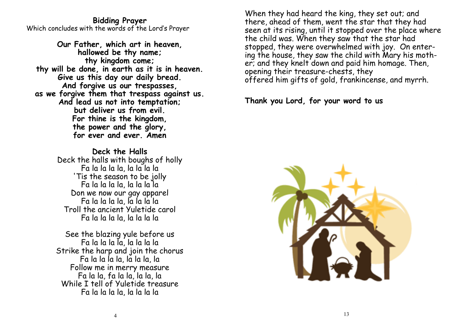#### **Bidding Prayer** Which concludes with the words of the Lord's Prayer

**Our Father, which art in heaven, hallowed be thy name; thy kingdom come; thy will be done, in earth as it is in heaven. Give us this day our daily bread. And forgive us our trespasses, as we forgive them that trespass against us. And lead us not into temptation; but deliver us from evil. For thine is the kingdom, the power and the glory, for ever and ever. Amen**

> **Deck the Halls** Deck the halls with boughs of holly Fa la la la la, la la la la 'Tis the season to be jolly Fa la la la la, la la la la Don we now our gay apparel Fa la la la la, la la la la Troll the ancient Yuletide carol Fa la la la la, la la la la

> See the blazing yule before us Fa la la la la, la la la la Strike the harp and join the chorus Fa la la la la, la la la, la Follow me in merry measure Fa la la, fa la la, la la, la While I tell of Yuletide treasure Fa la la la la, la la la la

When they had heard the king, they set out; and there, ahead of them, went the star that they had seen at its rising, until it stopped over the place where the child was. When they saw that the star had stopped, they were overwhelmed with joy. On entering the house, they saw the child with Mary his mother; and they knelt down and paid him homage. Then, opening their treasure-chests, they offered him gifts of gold, frankincense, and myrrh.

**Thank you Lord, for your word to us**

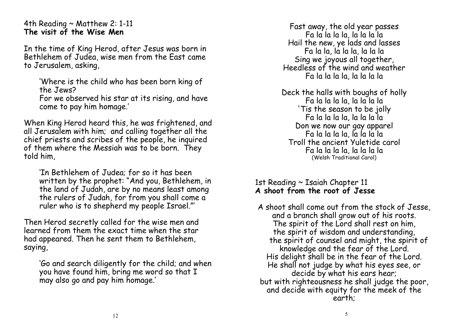### 4th Reading  $\sim$  Matthew 2: 1-11 **The visit of the Wise Men**

In the time of King Herod, after Jesus was born in Bethlehem of Judea, wise men from the East came to Jerusalem, asking,

'Where is the child who has been born king of the Jews?

For we observed his star at its rising, and have come to pay him homage.'

When King Herod heard this, he was frightened, and all Jerusalem with him; and calling together all the chief priests and scribes of the people, he inquired of them where the Messiah was to be born. They told him,

'In Bethlehem of Judea; for so it has been written by the prophet: "And you, Bethlehem, in the land of Judah, are by no means least among the rulers of Judah, for from you shall come a ruler who is to shepherd my people Israel."'

Then Herod secretly called for the wise men and learned from them the exact time when the star had appeared. Then he sent them to Bethlehem, saying,

'Go and search diligently for the child; and when you have found him, bring me word so that I may also go and pay him homage.'

Fast away, the old year passes Fa la la la la, la la la la Hail the new, ye lads and lasses Fa la la, la la la, la la la Sing we joyous all together, Heedless of the wind and weather Fa la la la la, la la la la

Deck the halls with boughs of holly Fa la la la la, la la la la 'Tis the season to be jolly Fa la la la la, la la la la Don we now our gay apparel Fa la la la la, la la la la Troll the ancient Yuletide carol Fa la la la la, la la la la (Welsh Traditional Carol)

### 1st Reading ~ Isaiah Chapter 11 **A shoot from the root of Jesse**

A shoot shall come out from the stock of Jesse, and a branch shall grow out of his roots. The spirit of the Lord shall rest on him, the spirit of wisdom and understanding, the spirit of counsel and might, the spirit of knowledge and the fear of the Lord. His delight shall be in the fear of the Lord. He shall not judge by what his eyes see, or decide by what his ears hear; but with righteousness he shall judge the poor, and decide with equity for the meek of the earth;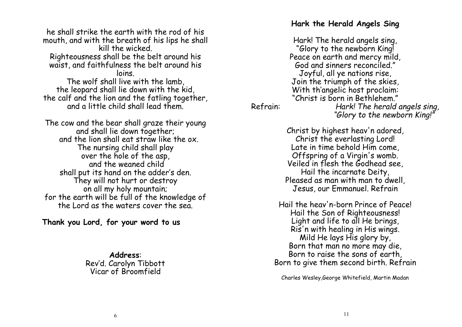he shall strike the earth with the rod of his mouth, and with the breath of his lips he shall kill the wicked. Righteousness shall be the belt around his waist, and faithfulness the belt around his loins. The wolf shall live with the lamb, the leopard shall lie down with the kid, the calf and the lion and the fatling together, and a little child shall lead them.

The cow and the bear shall graze their young and shall lie down together; and the lion shall eat straw like the ox. The nursing child shall play over the hole of the asp, and the weaned child shall put its hand on the adder's den. They will not hurt or destroy on all my holy mountain; for the earth will be full of the knowledge of the Lord as the waters cover the sea.

**Thank you Lord, for your word to us**

**Address**: Rev'd. Carolyn Tibbott Vicar of Broomfield

### **Hark the Herald Angels Sing**

Hark! The herald angels sing, "Glory to the newborn King! Peace on earth and mercy mild, God and sinners reconciled." Joyful, all ye nations rise, Join the triumph of the skies, With th'angelic host proclaim: "Christ is born in Bethlehem." Refrain: *Hark! The herald angels sing, "Glory to the newborn King!"*

> Christ by highest heav'n adored, Christ the everlasting Lord! Late in time behold Him come, Offspring of a Virgin's womb. Veiled in flesh the Godhead see, Hail the incarnate Deity, Pleased as man with man to dwell, Jesus, our Emmanuel. Refrain

Hail the heav'n-born Prince of Peace! Hail the Son of Righteousness! Light and life to all He brings, Ris'n with healing in His wings. Mild He lays His glory by, Born that man no more may die, Born to raise the sons of earth, Born to give them second birth. Refrain

Charles Wesley,George Whitefield, Martin Madan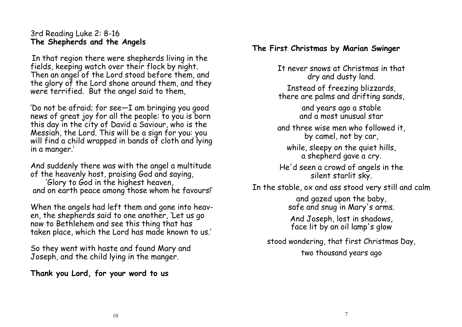### 3rd Reading Luke 2: 8-16 **The Shepherds and the Angels**

In that region there were shepherds living in the fields, keeping watch over their flock by night. Then an angel of the Lord stood before them, and the glory of the Lord shone around them, and they were terrified. But the angel said to them,

'Do not be afraid; for see—I am bringing you good news of great joy for all the people: to you is born this day in the city of David a Saviour, who is the Messiah, the Lord. This will be a sign for you: you will find a child wrapped in bands of cloth and lying in a manger.'

And suddenly there was with the angel a multitude of the heavenly host, praising God and saying,

'Glory to God in the highest heaven, and on earth peace among those whom he favours!'

When the angels had left them and gone into heaven, the shepherds said to one another, 'Let us go now to Bethlehem and see this thing that has taken place, which the Lord has made known to us.'

So they went with haste and found Mary and Joseph, and the child lying in the manger.

**Thank you Lord, for your word to us**

# **The First Christmas by Marian Swinger**

It never snows at Christmas in that dry and dusty land. Instead of freezing blizzards, there are palms and drifting sands, and years ago a stable and a most unusual star and three wise men who followed it, by camel, not by car, while, sleepy on the quiet hills, a shepherd gave a cry. He'd seen a crowd of angels in the silent starlit sky. In the stable, ox and ass stood very still and calm and gazed upon the baby, safe and snug in Mary's arms. And Joseph, lost in shadows, face lit by an oil lamp's glow

stood wondering, that first Christmas Day, two thousand years ago